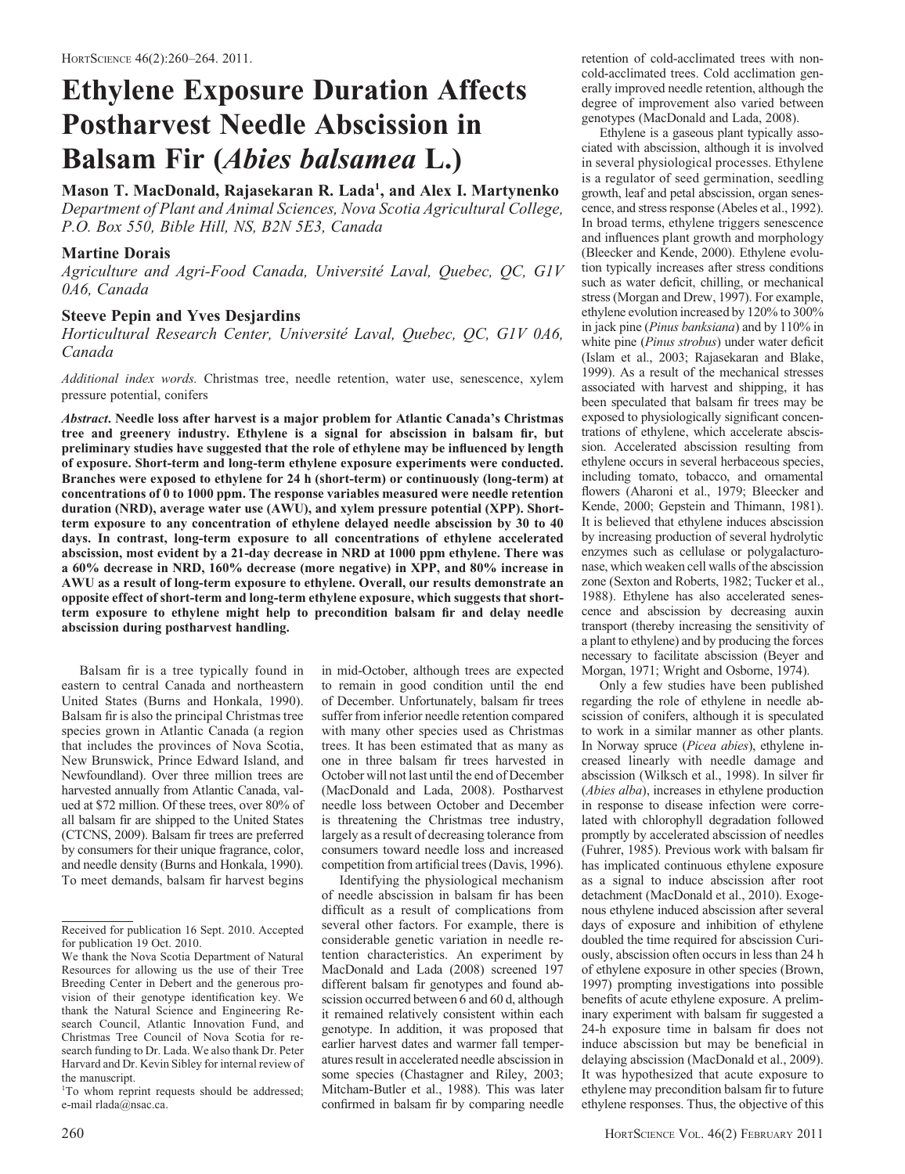# Ethylene Exposure Duration Affects Postharvest Needle Abscission in Balsam Fir (Abies balsamea L.)

Mason T. MacDonald, Rajasekaran R. Lada<sup>1</sup>, and Alex I. Martynenko Department of Plant and Animal Sciences, Nova Scotia Agricultural College, P.O. Box 550, Bible Hill, NS, B2N 5E3, Canada

## Martine Dorais

Agriculture and Agri-Food Canada, Université Laval, Quebec, QC, G1V 0A6, Canada

## Steeve Pepin and Yves Desjardins

Horticultural Research Center, Université Laval, Quebec, OC, G1V 0A6, Canada

Additional index words. Christmas tree, needle retention, water use, senescence, xylem pressure potential, conifers

Abstract. Needle loss after harvest is a major problem for Atlantic Canada's Christmas tree and greenery industry. Ethylene is a signal for abscission in balsam fir, but preliminary studies have suggested that the role of ethylene may be influenced by length of exposure. Short-term and long-term ethylene exposure experiments were conducted. Branches were exposed to ethylene for 24 h (short-term) or continuously (long-term) at concentrations of 0 to 1000 ppm. The response variables measured were needle retention duration (NRD), average water use (AWU), and xylem pressure potential (XPP). Shortterm exposure to any concentration of ethylene delayed needle abscission by 30 to 40 days. In contrast, long-term exposure to all concentrations of ethylene accelerated abscission, most evident by a 21-day decrease in NRD at 1000 ppm ethylene. There was a 60% decrease in NRD, 160% decrease (more negative) in XPP, and 80% increase in AWU as a result of long-term exposure to ethylene. Overall, our results demonstrate an opposite effect of short-term and long-term ethylene exposure, which suggests that shortterm exposure to ethylene might help to precondition balsam fir and delay needle abscission during postharvest handling.

Balsam fir is a tree typically found in eastern to central Canada and northeastern United States (Burns and Honkala, 1990). Balsam fir is also the principal Christmas tree species grown in Atlantic Canada (a region that includes the provinces of Nova Scotia, New Brunswick, Prince Edward Island, and Newfoundland). Over three million trees are harvested annually from Atlantic Canada, valued at \$72 million. Of these trees, over 80% of all balsam fir are shipped to the United States (CTCNS, 2009). Balsam fir trees are preferred by consumers for their unique fragrance, color, and needle density (Burns and Honkala, 1990). To meet demands, balsam fir harvest begins in mid-October, although trees are expected to remain in good condition until the end of December. Unfortunately, balsam fir trees suffer from inferior needle retention compared with many other species used as Christmas trees. It has been estimated that as many as one in three balsam fir trees harvested in October will not last until the end of December (MacDonald and Lada, 2008). Postharvest needle loss between October and December is threatening the Christmas tree industry, largely as a result of decreasing tolerance from consumers toward needle loss and increased competition from artificial trees (Davis, 1996).

Identifying the physiological mechanism of needle abscission in balsam fir has been difficult as a result of complications from several other factors. For example, there is considerable genetic variation in needle retention characteristics. An experiment by MacDonald and Lada (2008) screened 197 different balsam fir genotypes and found abscission occurred between 6 and 60 d, although it remained relatively consistent within each genotype. In addition, it was proposed that earlier harvest dates and warmer fall temperatures result in accelerated needle abscission in some species (Chastagner and Riley, 2003; Mitcham-Butler et al., 1988). This was later confirmed in balsam fir by comparing needle

retention of cold-acclimated trees with noncold-acclimated trees. Cold acclimation generally improved needle retention, although the degree of improvement also varied between genotypes (MacDonald and Lada, 2008).

Ethylene is a gaseous plant typically associated with abscission, although it is involved in several physiological processes. Ethylene is a regulator of seed germination, seedling growth, leaf and petal abscission, organ senescence, and stress response (Abeles et al., 1992). In broad terms, ethylene triggers senescence and influences plant growth and morphology (Bleecker and Kende, 2000). Ethylene evolution typically increases after stress conditions such as water deficit, chilling, or mechanical stress (Morgan and Drew, 1997). For example, ethylene evolution increased by 120% to 300% in jack pine (Pinus banksiana) and by 110% in white pine (Pinus strobus) under water deficit (Islam et al., 2003; Rajasekaran and Blake, 1999). As a result of the mechanical stresses associated with harvest and shipping, it has been speculated that balsam fir trees may be exposed to physiologically significant concentrations of ethylene, which accelerate abscission. Accelerated abscission resulting from ethylene occurs in several herbaceous species, including tomato, tobacco, and ornamental flowers (Aharoni et al., 1979; Bleecker and Kende, 2000; Gepstein and Thimann, 1981). It is believed that ethylene induces abscission by increasing production of several hydrolytic enzymes such as cellulase or polygalacturonase, which weaken cell walls of the abscission zone (Sexton and Roberts, 1982; Tucker et al., 1988). Ethylene has also accelerated senescence and abscission by decreasing auxin transport (thereby increasing the sensitivity of a plant to ethylene) and by producing the forces necessary to facilitate abscission (Beyer and Morgan, 1971; Wright and Osborne, 1974).

Only a few studies have been published regarding the role of ethylene in needle abscission of conifers, although it is speculated to work in a similar manner as other plants. In Norway spruce (Picea abies), ethylene increased linearly with needle damage and abscission (Wilksch et al., 1998). In silver fir (Abies alba), increases in ethylene production in response to disease infection were correlated with chlorophyll degradation followed promptly by accelerated abscission of needles (Fuhrer, 1985). Previous work with balsam fir has implicated continuous ethylene exposure as a signal to induce abscission after root detachment (MacDonald et al., 2010). Exogenous ethylene induced abscission after several days of exposure and inhibition of ethylene doubled the time required for abscission Curiously, abscission often occurs in less than 24 h of ethylene exposure in other species (Brown, 1997) prompting investigations into possible benefits of acute ethylene exposure. A preliminary experiment with balsam fir suggested a 24-h exposure time in balsam fir does not induce abscission but may be beneficial in delaying abscission (MacDonald et al., 2009). It was hypothesized that acute exposure to ethylene may precondition balsam fir to future ethylene responses. Thus, the objective of this

Received for publication 16 Sept. 2010. Accepted for publication 19 Oct. 2010.

We thank the Nova Scotia Department of Natural Resources for allowing us the use of their Tree Breeding Center in Debert and the generous provision of their genotype identification key. We thank the Natural Science and Engineering Research Council, Atlantic Innovation Fund, and Christmas Tree Council of Nova Scotia for research funding to Dr. Lada. We also thank Dr. Peter Harvard and Dr. Kevin Sibley for internal review of the manuscript.

<sup>&</sup>lt;sup>1</sup>To whom reprint requests should be addressed; e-mail rlada@nsac.ca.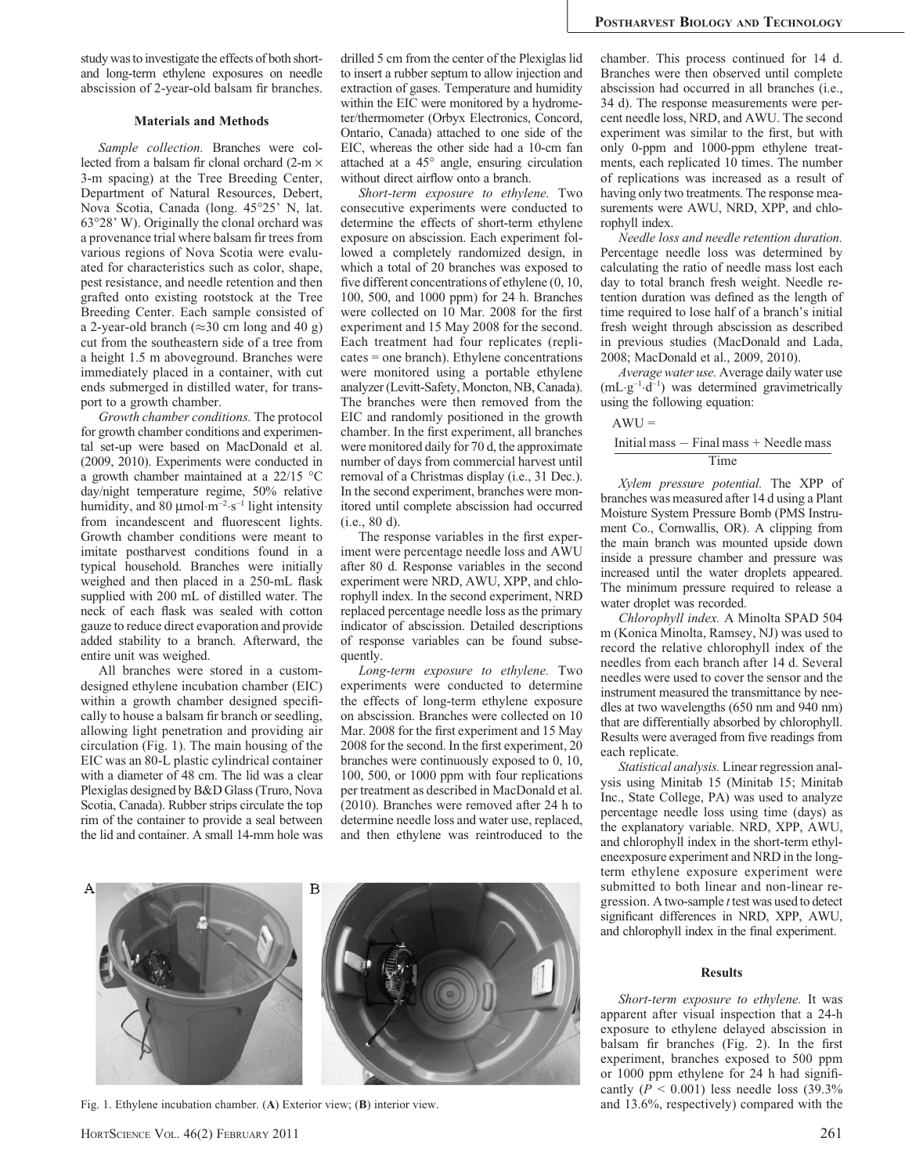study was to investigate the effects of both shortand long-term ethylene exposures on needle abscission of 2-year-old balsam fir branches.

### Materials and Methods

Sample collection. Branches were collected from a balsam fir clonal orchard (2-m  $\times$ 3-m spacing) at the Tree Breeding Center, Department of Natural Resources, Debert, Nova Scotia, Canada (long. 45°25' N, lat. 63-28' W). Originally the clonal orchard was a provenance trial where balsam fir trees from various regions of Nova Scotia were evaluated for characteristics such as color, shape, pest resistance, and needle retention and then grafted onto existing rootstock at the Tree Breeding Center. Each sample consisted of a 2-year-old branch  $(\approx 30 \text{ cm} \text{ long and } 40 \text{ g})$ cut from the southeastern side of a tree from a height 1.5 m aboveground. Branches were immediately placed in a container, with cut ends submerged in distilled water, for transport to a growth chamber.

Growth chamber conditions. The protocol for growth chamber conditions and experimental set-up were based on MacDonald et al. (2009, 2010). Experiments were conducted in a growth chamber maintained at a  $22/15$  °C day/night temperature regime, 50% relative humidity, and 80  $\mu$ mol·m<sup>-2</sup>·s<sup>-1</sup> light intensity from incandescent and fluorescent lights. Growth chamber conditions were meant to imitate postharvest conditions found in a typical household. Branches were initially weighed and then placed in a 250-mL flask supplied with 200 mL of distilled water. The neck of each flask was sealed with cotton gauze to reduce direct evaporation and provide added stability to a branch. Afterward, the entire unit was weighed.

All branches were stored in a customdesigned ethylene incubation chamber (EIC) within a growth chamber designed specifically to house a balsam fir branch or seedling, allowing light penetration and providing air circulation (Fig. 1). The main housing of the EIC was an 80-L plastic cylindrical container with a diameter of 48 cm. The lid was a clear Plexiglas designed by B&D Glass (Truro, Nova Scotia, Canada). Rubber strips circulate the top rim of the container to provide a seal between the lid and container. A small 14-mm hole was drilled 5 cm from the center of the Plexiglas lid to insert a rubber septum to allow injection and extraction of gases. Temperature and humidity within the EIC were monitored by a hydrometer/thermometer (Orbyx Electronics, Concord, Ontario, Canada) attached to one side of the EIC, whereas the other side had a 10-cm fan attached at a 45° angle, ensuring circulation without direct airflow onto a branch.

Short-term exposure to ethylene. Two consecutive experiments were conducted to determine the effects of short-term ethylene exposure on abscission. Each experiment followed a completely randomized design, in which a total of 20 branches was exposed to five different concentrations of ethylene (0, 10, 100, 500, and 1000 ppm) for 24 h. Branches were collected on 10 Mar. 2008 for the first experiment and 15 May 2008 for the second. Each treatment had four replicates (replicates = one branch). Ethylene concentrations were monitored using a portable ethylene analyzer (Levitt-Safety, Moncton, NB, Canada). The branches were then removed from the EIC and randomly positioned in the growth chamber. In the first experiment, all branches were monitored daily for 70 d, the approximate number of days from commercial harvest until removal of a Christmas display (i.e., 31 Dec.). In the second experiment, branches were monitored until complete abscission had occurred (i.e., 80 d).

The response variables in the first experiment were percentage needle loss and AWU after 80 d. Response variables in the second experiment were NRD, AWU, XPP, and chlorophyll index. In the second experiment, NRD replaced percentage needle loss as the primary indicator of abscission. Detailed descriptions of response variables can be found subsequently.

Long-term exposure to ethylene. Two experiments were conducted to determine the effects of long-term ethylene exposure on abscission. Branches were collected on 10 Mar. 2008 for the first experiment and 15 May 2008 for the second. In the first experiment, 20 branches were continuously exposed to 0, 10, 100, 500, or 1000 ppm with four replications per treatment as described in MacDonald et al. (2010). Branches were removed after 24 h to determine needle loss and water use, replaced, and then ethylene was reintroduced to the



Fig. 1. Ethylene incubation chamber. (A) Exterior view; (B) interior view. and 13.6%, respectively) compared with the

chamber. This process continued for 14 d. Branches were then observed until complete abscission had occurred in all branches (i.e., 34 d). The response measurements were percent needle loss, NRD, and AWU. The second experiment was similar to the first, but with only 0-ppm and 1000-ppm ethylene treatments, each replicated 10 times. The number of replications was increased as a result of having only two treatments. The response measurements were AWU, NRD, XPP, and chlorophyll index.

Needle loss and needle retention duration. Percentage needle loss was determined by calculating the ratio of needle mass lost each day to total branch fresh weight. Needle retention duration was defined as the length of time required to lose half of a branch's initial fresh weight through abscission as described in previous studies (MacDonald and Lada, 2008; MacDonald et al., 2009, 2010).

Average water use. Average daily water use  $(mL·g<sup>-1</sup>·d<sup>-1</sup>)$  was determined gravimetrically using the following equation:

## $AWU =$

## Initial mass  $-$  Final mass  $+$  Needle mass Time

Xylem pressure potential. The XPP of branches was measured after 14 d using a Plant Moisture System Pressure Bomb (PMS Instrument Co., Cornwallis, OR). A clipping from the main branch was mounted upside down inside a pressure chamber and pressure was increased until the water droplets appeared. The minimum pressure required to release a water droplet was recorded.

Chlorophyll index. A Minolta SPAD 504 m (Konica Minolta, Ramsey, NJ) was used to record the relative chlorophyll index of the needles from each branch after 14 d. Several needles were used to cover the sensor and the instrument measured the transmittance by needles at two wavelengths (650 nm and 940 nm) that are differentially absorbed by chlorophyll. Results were averaged from five readings from each replicate.

Statistical analysis. Linear regression analysis using Minitab 15 (Minitab 15; Minitab Inc., State College, PA) was used to analyze percentage needle loss using time (days) as the explanatory variable. NRD, XPP, AWU, and chlorophyll index in the short-term ethyleneexposure experiment and NRD in the longterm ethylene exposure experiment were submitted to both linear and non-linear regression. A two-sample t test was used to detect significant differences in NRD, XPP, AWU, and chlorophyll index in the final experiment.

#### Results

Short-term exposure to ethylene. It was apparent after visual inspection that a 24-h exposure to ethylene delayed abscission in balsam fir branches (Fig. 2). In the first experiment, branches exposed to 500 ppm or 1000 ppm ethylene for 24 h had significantly ( $P < 0.001$ ) less needle loss (39.3%)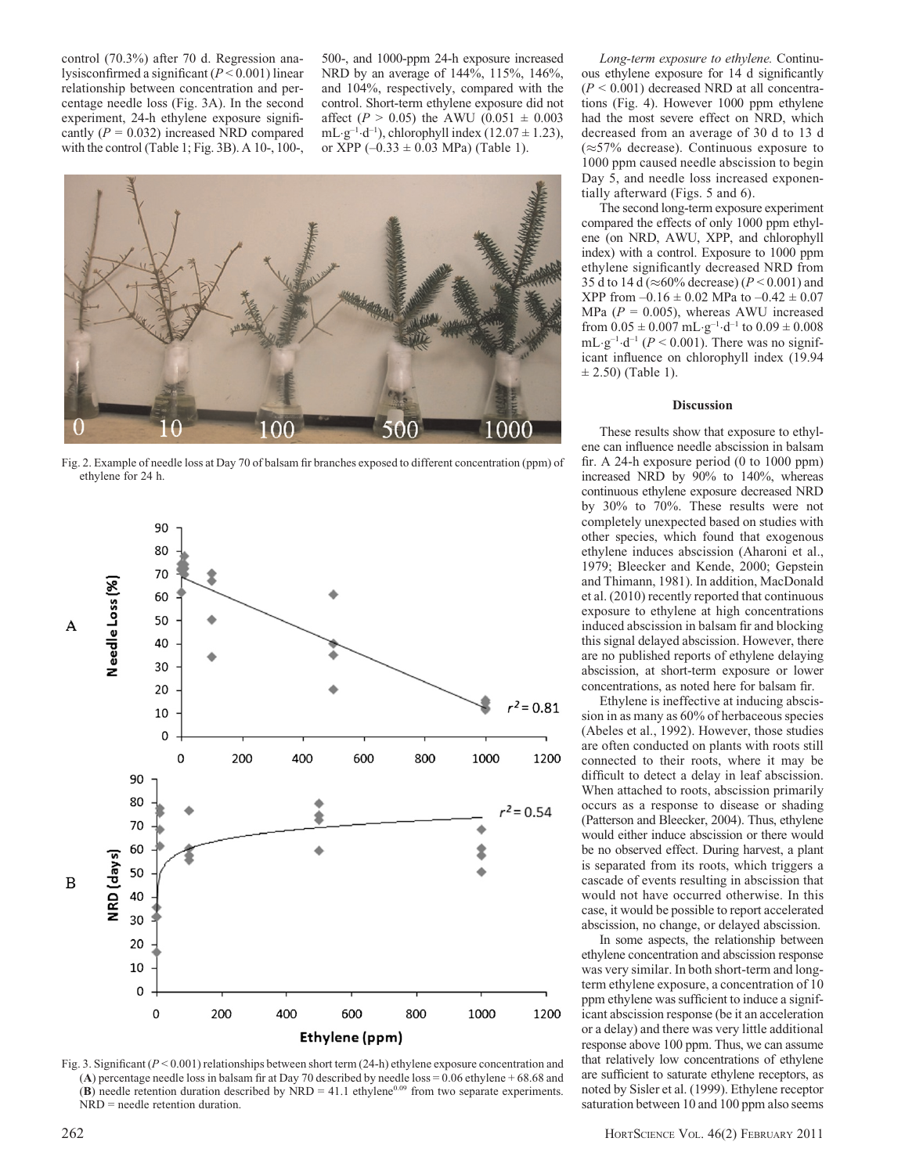control (70.3%) after 70 d. Regression analysisconfirmed a significant  $(P < 0.001)$  linear relationship between concentration and percentage needle loss (Fig. 3A). In the second experiment, 24-h ethylene exposure significantly  $(P = 0.032)$  increased NRD compared with the control (Table 1; Fig. 3B). A 10-, 100-,

500-, and 1000-ppm 24-h exposure increased NRD by an average of 144%, 115%, 146%, and 104%, respectively, compared with the control. Short-term ethylene exposure did not affect ( $P > 0.05$ ) the AWU (0.051  $\pm$  0.003 mL $-g^{-1} \cdot d^{-1}$ ), chlorophyll index (12.07  $\pm$  1.23), or XPP  $(-0.33 \pm 0.03 \text{ MPa})$  (Table 1).



Fig. 2. Example of needle loss at Day 70 of balsam fir branches exposed to different concentration (ppm) of ethylene for 24 h.



Fig. 3. Significant ( $P < 0.001$ ) relationships between short term (24-h) ethylene exposure concentration and (A) percentage needle loss in balsam fir at Day 70 described by needle loss = 0.06 ethylene + 68.68 and (B) needle retention duration described by NRD = 41.1 ethylene<sup>0.09</sup> from two separate experiments. NRD = needle retention duration.

Long-term exposure to ethylene. Continuous ethylene exposure for 14 d significantly  $(P < 0.001)$  decreased NRD at all concentrations (Fig. 4). However 1000 ppm ethylene had the most severe effect on NRD, which decreased from an average of 30 d to 13 d  $(\approx 57\%$  decrease). Continuous exposure to 1000 ppm caused needle abscission to begin Day 5, and needle loss increased exponentially afterward (Figs. 5 and 6).

The second long-term exposure experiment compared the effects of only 1000 ppm ethylene (on NRD, AWU, XPP, and chlorophyll index) with a control. Exposure to 1000 ppm ethylene significantly decreased NRD from 35 d to 14 d ( $\approx$ 60% decrease) ( $P$  < 0.001) and XPP from  $-0.16 \pm 0.02$  MPa to  $-0.42 \pm 0.07$ MPa ( $P = 0.005$ ), whereas AWU increased from  $0.05 \pm 0.007$  mL $\cdot$ g<sup>-1</sup> $\cdot$ d<sup>-1</sup> to  $0.09 \pm 0.008$ mL $\cdot$ g<sup>-1</sup> $\cdot$ d<sup>-1</sup> (P < 0.001). There was no significant influence on chlorophyll index (19.94  $\pm$  2.50) (Table 1).

#### **Discussion**

These results show that exposure to ethylene can influence needle abscission in balsam fir. A 24-h exposure period (0 to 1000 ppm) increased NRD by 90% to 140%, whereas continuous ethylene exposure decreased NRD by 30% to 70%. These results were not completely unexpected based on studies with other species, which found that exogenous ethylene induces abscission (Aharoni et al., 1979; Bleecker and Kende, 2000; Gepstein and Thimann, 1981). In addition, MacDonald et al. (2010) recently reported that continuous exposure to ethylene at high concentrations induced abscission in balsam fir and blocking this signal delayed abscission. However, there are no published reports of ethylene delaying abscission, at short-term exposure or lower concentrations, as noted here for balsam fir.

Ethylene is ineffective at inducing abscission in as many as 60% of herbaceous species (Abeles et al., 1992). However, those studies are often conducted on plants with roots still connected to their roots, where it may be difficult to detect a delay in leaf abscission. When attached to roots, abscission primarily occurs as a response to disease or shading (Patterson and Bleecker, 2004). Thus, ethylene would either induce abscission or there would be no observed effect. During harvest, a plant is separated from its roots, which triggers a cascade of events resulting in abscission that would not have occurred otherwise. In this case, it would be possible to report accelerated abscission, no change, or delayed abscission.

In some aspects, the relationship between ethylene concentration and abscission response was very similar. In both short-term and longterm ethylene exposure, a concentration of 10 ppm ethylene was sufficient to induce a significant abscission response (be it an acceleration or a delay) and there was very little additional response above 100 ppm. Thus, we can assume that relatively low concentrations of ethylene are sufficient to saturate ethylene receptors, as noted by Sisler et al. (1999). Ethylene receptor saturation between 10 and 100 ppm also seems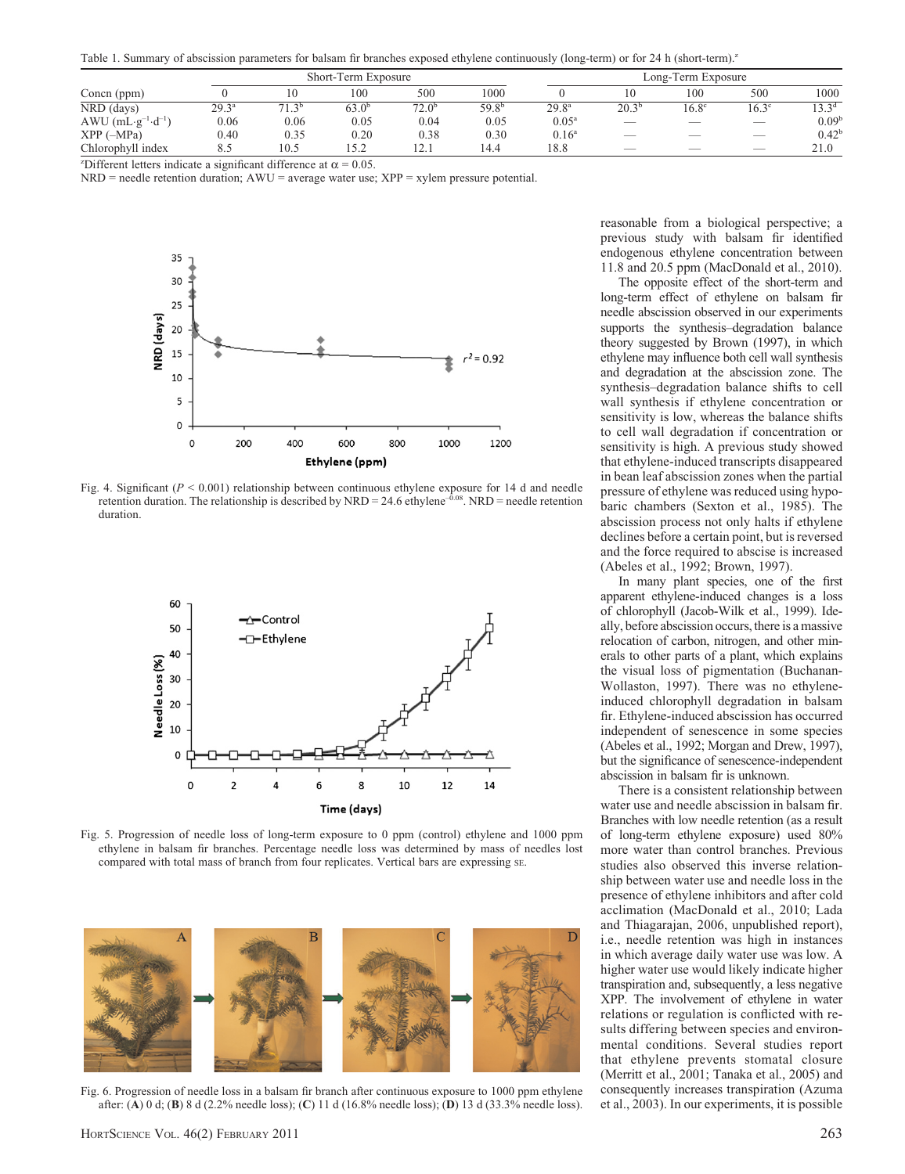Table 1. Summary of abscission parameters for balsam fir branches exposed ethylene continuously (long-term) or for 24 h (short-term).<sup>2</sup>

|                    |                | Short-Term Exposure |       |                         |                   |                   | Long-Term Exposure       |                          |                          |                   |  |
|--------------------|----------------|---------------------|-------|-------------------------|-------------------|-------------------|--------------------------|--------------------------|--------------------------|-------------------|--|
| Concn (ppm)        |                |                     | 100   | 500                     | 1000              |                   |                          | 100                      | 500                      | 1000              |  |
| NRD (days)         | $29.3^{\rm a}$ | 2 <sub>b</sub>      | 63.0b | 72.0 <sup>b</sup>       | 59.8 <sup>b</sup> | 29.8 <sup>a</sup> | $20.3^{\rm b}$           | $16.8^{\circ}$           | $16.3^\circ$             | 13.3 <sup>d</sup> |  |
| AWU $(mL·g-1·d-1)$ | 0.06           | 0.06                | 0.05  | 0.04                    | 0.05              | $0.05^{\rm a}$    | $\overline{\phantom{a}}$ | $\overline{\phantom{a}}$ | $\overline{\phantom{a}}$ | 0.09 <sup>b</sup> |  |
| $XPP$ ( $-MPa$ )   | 0.40           | 0.35                | 0.20  | 0.38                    | 0.30              | 0.16 <sup>a</sup> | $\overline{\phantom{a}}$ | $\overline{\phantom{a}}$ | $\overline{\phantom{a}}$ | $0.42^{\rm b}$    |  |
| Chlorophyll index  | 8.5            | 10.5                | . 5 2 | 12 <sub>1</sub><br>14.1 | 14.4              | 18.8              | $\overline{\phantom{a}}$ | $\overline{\phantom{a}}$ | $\overline{\phantom{a}}$ | 21.0              |  |

<sup>2</sup>Different letters indicate a significant difference at  $\alpha = 0.05$ .

 $NRD$  = needle retention duration;  $AWU$  = average water use;  $XPP$  = xylem pressure potential.



Fig. 4. Significant ( $P < 0.001$ ) relationship between continuous ethylene exposure for 14 d and needle retention duration. The relationship is described by  $NRD = 24.6$  ethylene<sup>-0.08</sup>. NRD = needle retention duration.



Fig. 5. Progression of needle loss of long-term exposure to 0 ppm (control) ethylene and 1000 ppm ethylene in balsam fir branches. Percentage needle loss was determined by mass of needles lost compared with total mass of branch from four replicates. Vertical bars are expressing sE.



Fig. 6. Progression of needle loss in a balsam fir branch after continuous exposure to 1000 ppm ethylene after: (A) 0 d; (B) 8 d (2.2% needle loss); (C) 11 d (16.8% needle loss); (D) 13 d (33.3% needle loss).

reasonable from a biological perspective; a previous study with balsam fir identified endogenous ethylene concentration between 11.8 and 20.5 ppm (MacDonald et al., 2010).

The opposite effect of the short-term and long-term effect of ethylene on balsam fir needle abscission observed in our experiments supports the synthesis–degradation balance theory suggested by Brown (1997), in which ethylene may influence both cell wall synthesis and degradation at the abscission zone. The synthesis–degradation balance shifts to cell wall synthesis if ethylene concentration or sensitivity is low, whereas the balance shifts to cell wall degradation if concentration or sensitivity is high. A previous study showed that ethylene-induced transcripts disappeared in bean leaf abscission zones when the partial pressure of ethylene was reduced using hypobaric chambers (Sexton et al., 1985). The abscission process not only halts if ethylene declines before a certain point, but is reversed and the force required to abscise is increased (Abeles et al., 1992; Brown, 1997).

In many plant species, one of the first apparent ethylene-induced changes is a loss of chlorophyll (Jacob-Wilk et al., 1999). Ideally, before abscission occurs, there is a massive relocation of carbon, nitrogen, and other minerals to other parts of a plant, which explains the visual loss of pigmentation (Buchanan-Wollaston, 1997). There was no ethyleneinduced chlorophyll degradation in balsam fir. Ethylene-induced abscission has occurred independent of senescence in some species (Abeles et al., 1992; Morgan and Drew, 1997), but the significance of senescence-independent abscission in balsam fir is unknown.

There is a consistent relationship between water use and needle abscission in balsam fir. Branches with low needle retention (as a result of long-term ethylene exposure) used 80% more water than control branches. Previous studies also observed this inverse relationship between water use and needle loss in the presence of ethylene inhibitors and after cold acclimation (MacDonald et al., 2010; Lada and Thiagarajan, 2006, unpublished report), i.e., needle retention was high in instances in which average daily water use was low. A higher water use would likely indicate higher transpiration and, subsequently, a less negative XPP. The involvement of ethylene in water relations or regulation is conflicted with results differing between species and environmental conditions. Several studies report that ethylene prevents stomatal closure (Merritt et al., 2001; Tanaka et al., 2005) and consequently increases transpiration (Azuma et al., 2003). In our experiments, it is possible